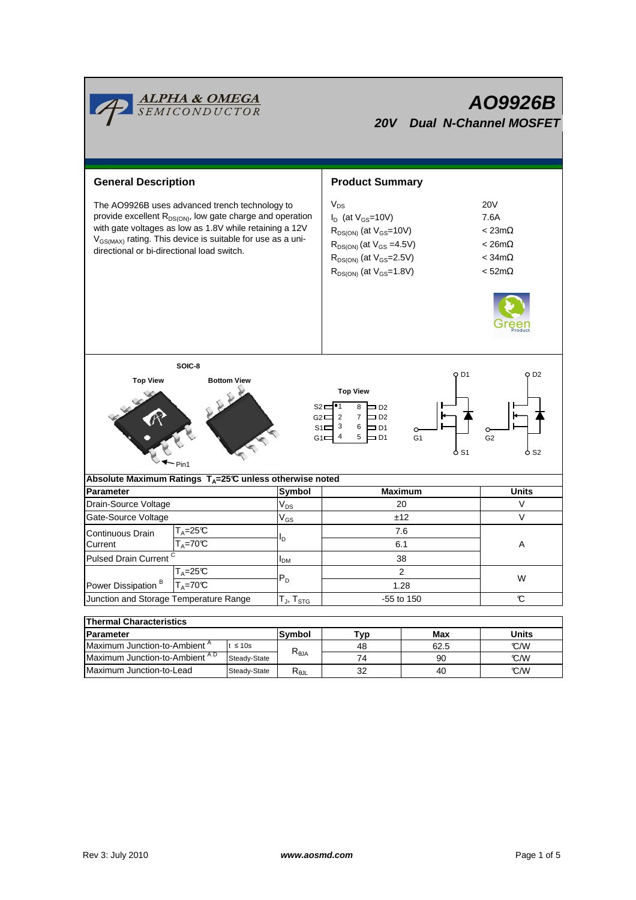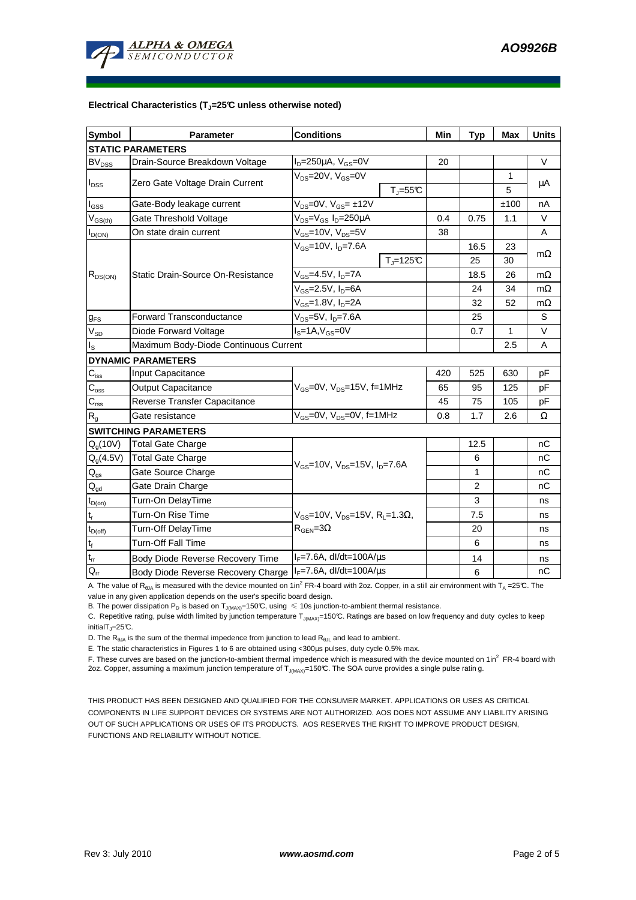

## **Electrical Characteristics (TJ=25°C unless otherwise noted)**

| <b>Symbol</b>               | <b>Parameter</b>                      | <b>Conditions</b>                                                                 |               | Min | <b>Typ</b>     | <b>Max</b>   | <b>Units</b> |
|-----------------------------|---------------------------------------|-----------------------------------------------------------------------------------|---------------|-----|----------------|--------------|--------------|
| <b>STATIC PARAMETERS</b>    |                                       |                                                                                   |               |     |                |              |              |
| <b>BV<sub>DSS</sub></b>     | Drain-Source Breakdown Voltage        | $I_D = 250 \mu A$ , $V_{GS} = 0V$                                                 |               | 20  |                |              | V            |
| $I_{DSS}$                   | Zero Gate Voltage Drain Current       | $V_{DS}$ =20V, $V_{GS}$ =0V                                                       |               |     |                | 1            | μA           |
|                             |                                       |                                                                                   | $T_{J} = 55C$ |     |                | 5            |              |
| $I_{GSS}$                   | Gate-Body leakage current             | $V_{DS} = 0V$ , $V_{GS} = \pm 12V$                                                |               |     |                | ±100         | nA           |
| $V_{GS(th)}$                | Gate Threshold Voltage                | $V_{DS} = V_{GS} I_D = 250 \mu A$                                                 |               | 0.4 | 0.75           | 1.1          | V            |
| $I_{D(O\underline{N})}$     | On state drain current                | $V_{GS}$ =10V, $V_{DS}$ =5V                                                       |               | 38  |                |              | A            |
| $R_{DS(ON)}$                | Static Drain-Source On-Resistance     | $V_{GS}$ =10V, $I_{D}$ =7.6A                                                      |               |     | 16.5           | 23           | $m\Omega$    |
|                             |                                       |                                                                                   | $Tj=125C$     |     | 25             | 30           |              |
|                             |                                       | $V_{GS}$ =4.5V, $I_{D}$ =7A                                                       |               |     | 18.5           | 26           | $m\Omega$    |
|                             |                                       | $V_{GS}$ =2.5V, $I_{D}$ =6A                                                       |               |     | 24             | 34           | $m\Omega$    |
|                             |                                       | $V_{GS}$ =1.8V, $I_{D}$ =2A                                                       |               |     | 32             | 52           | $m\Omega$    |
| $g_{FS}$                    | <b>Forward Transconductance</b>       | $V_{DS}$ =5V, $I_D$ =7.6A                                                         |               |     | 25             |              | S            |
| $\rm V_{SD}$                | Diode Forward Voltage                 | $IS=1A, VGS=0V$                                                                   |               |     | 0.7            | $\mathbf{1}$ | $\vee$       |
| $I_{\rm S}$                 | Maximum Body-Diode Continuous Current |                                                                                   |               |     |                | 2.5          | A            |
|                             | <b>DYNAMIC PARAMETERS</b>             |                                                                                   |               |     |                |              |              |
| $C_{\text{iss}}$            | Input Capacitance                     | $V_{GS}$ =0V, $V_{DS}$ =15V, f=1MHz                                               |               | 420 | 525            | 630          | рF           |
| $\mathsf{C}_{\text{oss}}$   | <b>Output Capacitance</b>             |                                                                                   |               | 65  | 95             | 125          | рF           |
| $C_{\text{rss}}$            | Reverse Transfer Capacitance          |                                                                                   |               | 45  | 75             | 105          | pF           |
| R <sub>g</sub>              | Gate resistance                       | $V_{GS}$ =0V, $V_{DS}$ =0V, f=1MHz                                                |               | 0.8 | 1.7            | 2.6          | Ω            |
| <b>SWITCHING PARAMETERS</b> |                                       |                                                                                   |               |     |                |              |              |
| $Q_q(10V)$                  | <b>Total Gate Charge</b>              | $V_{GS}$ =10V, $V_{DS}$ =15V, $I_{D}$ =7.6A                                       |               |     | 12.5           |              | пC           |
| Q <sub>a</sub> (4.5V)       | <b>Total Gate Charge</b>              |                                                                                   |               |     | 6              |              | nC           |
| $Q_{gs}$                    | Gate Source Charge                    |                                                                                   |               |     | 1              |              | nC           |
| $Q_{gd}$                    | Gate Drain Charge                     |                                                                                   |               |     | $\overline{2}$ |              | nС           |
| $t_{D(on)}$                 | Turn-On DelayTime                     | $V_{GS}$ =10V, $V_{DS}$ =15V, R <sub>L</sub> =1.3Ω,<br>$R_{\text{GEN}} = 3\Omega$ |               |     | 3              |              | ns           |
| $t_r$                       | Turn-On Rise Time                     |                                                                                   |               |     | 7.5            |              | ns           |
| $t_{D(off)}$                | Turn-Off DelayTime                    |                                                                                   |               |     | 20             |              | ns           |
| $t_f$                       | Turn-Off Fall Time                    |                                                                                   |               |     | 6              |              | ns           |
| $t_{rr}$                    | Body Diode Reverse Recovery Time      | $I_F$ =7.6A, dl/dt=100A/ $\mu$ s                                                  |               |     | 14             |              | ns           |
| $\overline{Q}_{rr}$         | Body Diode Reverse Recovery Charge    | $I_F$ =7.6A, dl/dt=100A/ $\mu$ s                                                  |               |     | 6              |              | nС           |

A. The value of R<sub>θJA</sub> is measured with the device mounted on 1in<sup>2</sup> FR-4 board with 2oz. Copper, in a still air environment with T<sub>A</sub> =25°C. The value in any given application depends on the user's specific board design.

B. The power dissipation P<sub>D</sub> is based on T<sub>J(MAX)</sub>=150°C, using  $\leq 10$ s junction-to-ambient thermal resistance.

C. Repetitive rating, pulse width limited by junction temperature  $T_{J(MAX)}$ =150°C. Ratings are based on low frequency and duty cycles to keep  $initialT_{j}=25^{\circ}C$ .

D. The  $R_{\theta JA}$  is the sum of the thermal impedence from junction to lead  $R_{\theta JL}$  and lead to ambient.

E. The static characteristics in Figures 1 to 6 are obtained using <300µs pulses, duty cycle 0.5% max.

F. These curves are based on the junction-to-ambient thermal impedence which is measured with the device mounted on 1in<sup>2</sup> FR-4 board with 2oz. Copper, assuming a maximum junction temperature of  $T_{J(MAX)}$ =150°C. The SOA curve provides a single pulse ratin g.

THIS PRODUCT HAS BEEN DESIGNED AND QUALIFIED FOR THE CONSUMER MARKET. APPLICATIONS OR USES AS CRITICAL COMPONENTS IN LIFE SUPPORT DEVICES OR SYSTEMS ARE NOT AUTHORIZED. AOS DOES NOT ASSUME ANY LIABILITY ARISING OUT OF SUCH APPLICATIONS OR USES OF ITS PRODUCTS. AOS RESERVES THE RIGHT TO IMPROVE PRODUCT DESIGN, FUNCTIONS AND RELIABILITY WITHOUT NOTICE.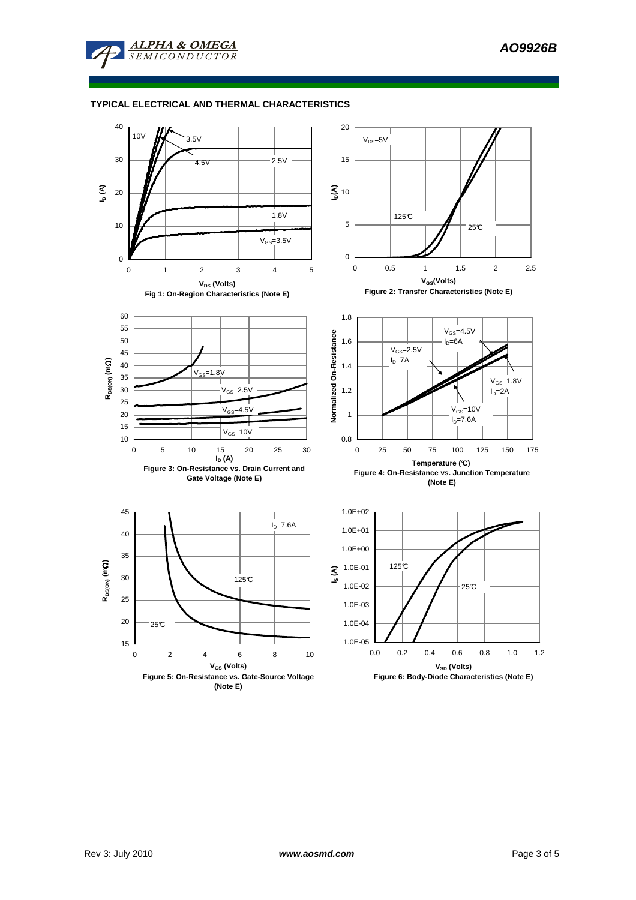

## **TYPICAL ELECTRICAL AND THERMAL CHARACTERISTICS**

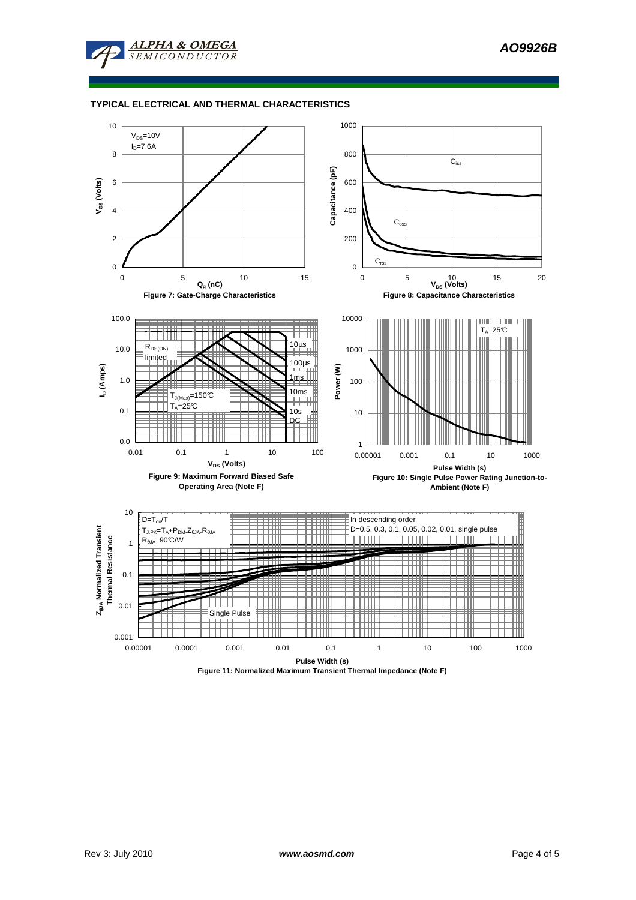

## **TYPICAL ELECTRICAL AND THERMAL CHARACTERISTICS**



**Figure 11: Normalized Maximum Transient Thermal Impedance (Note F)**